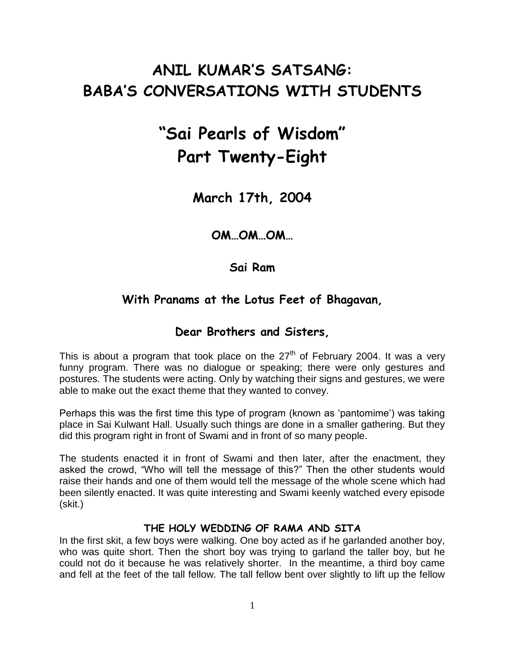## **ANIL KUMAR'S SATSANG: BABA'S CONVERSATIONS WITH STUDENTS**

# **"Sai Pearls of Wisdom" Part Twenty-Eight**

**March 17th, 2004**

**OM…OM…OM…**

**Sai Ram**

## **With Pranams at the Lotus Feet of Bhagavan,**

## **Dear Brothers and Sisters,**

This is about a program that took place on the  $27<sup>th</sup>$  of February 2004. It was a very funny program. There was no dialogue or speaking; there were only gestures and postures. The students were acting. Only by watching their signs and gestures, we were able to make out the exact theme that they wanted to convey.

Perhaps this was the first time this type of program (known as "pantomime") was taking place in Sai Kulwant Hall. Usually such things are done in a smaller gathering. But they did this program right in front of Swami and in front of so many people.

The students enacted it in front of Swami and then later, after the enactment, they asked the crowd, "Who will tell the message of this?" Then the other students would raise their hands and one of them would tell the message of the whole scene which had been silently enacted. It was quite interesting and Swami keenly watched every episode (skit.)

#### **THE HOLY WEDDING OF RAMA AND SITA**

In the first skit, a few boys were walking. One boy acted as if he garlanded another boy, who was quite short. Then the short boy was trying to garland the taller boy, but he could not do it because he was relatively shorter. In the meantime, a third boy came and fell at the feet of the tall fellow. The tall fellow bent over slightly to lift up the fellow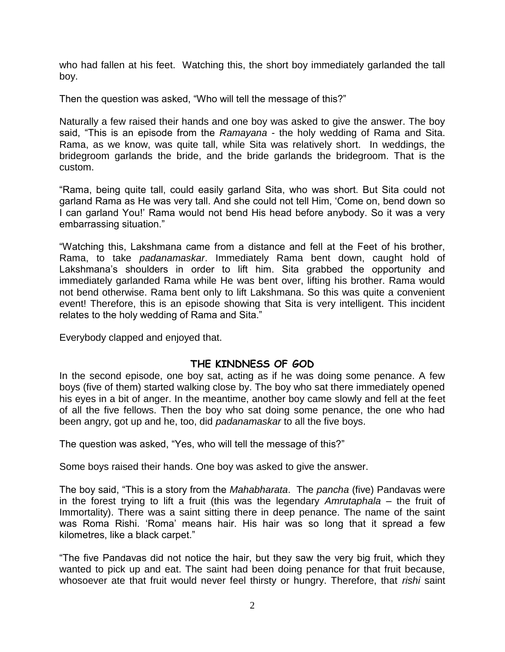who had fallen at his feet. Watching this, the short boy immediately garlanded the tall boy.

Then the question was asked, "Who will tell the message of this?"

Naturally a few raised their hands and one boy was asked to give the answer. The boy said, "This is an episode from the *Ramayana* - the holy wedding of Rama and Sita. Rama, as we know, was quite tall, while Sita was relatively short. In weddings, the bridegroom garlands the bride, and the bride garlands the bridegroom. That is the custom.

"Rama, being quite tall, could easily garland Sita, who was short. But Sita could not garland Rama as He was very tall. And she could not tell Him, "Come on, bend down so I can garland You!" Rama would not bend His head before anybody. So it was a very embarrassing situation."

"Watching this, Lakshmana came from a distance and fell at the Feet of his brother, Rama, to take *padanamaskar*. Immediately Rama bent down, caught hold of Lakshmana's shoulders in order to lift him. Sita grabbed the opportunity and immediately garlanded Rama while He was bent over, lifting his brother. Rama would not bend otherwise. Rama bent only to lift Lakshmana. So this was quite a convenient event! Therefore, this is an episode showing that Sita is very intelligent. This incident relates to the holy wedding of Rama and Sita."

Everybody clapped and enjoyed that.

#### **THE KINDNESS OF GOD**

In the second episode, one boy sat, acting as if he was doing some penance. A few boys (five of them) started walking close by. The boy who sat there immediately opened his eyes in a bit of anger. In the meantime, another boy came slowly and fell at the feet of all the five fellows. Then the boy who sat doing some penance, the one who had been angry, got up and he, too, did *padanamaskar* to all the five boys.

The question was asked, "Yes, who will tell the message of this?"

Some boys raised their hands. One boy was asked to give the answer.

The boy said, "This is a story from the *Mahabharata*. The *pancha* (five) Pandavas were in the forest trying to lift a fruit (this was the legendary *Amrutaphala* – the fruit of Immortality). There was a saint sitting there in deep penance. The name of the saint was Roma Rishi. "Roma" means hair. His hair was so long that it spread a few kilometres, like a black carpet."

"The five Pandavas did not notice the hair, but they saw the very big fruit, which they wanted to pick up and eat. The saint had been doing penance for that fruit because, whosoever ate that fruit would never feel thirsty or hungry. Therefore, that *rishi* saint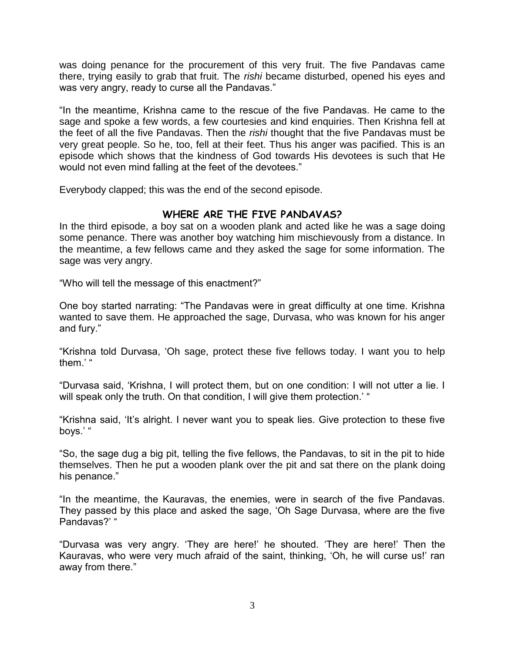was doing penance for the procurement of this very fruit. The five Pandavas came there, trying easily to grab that fruit. The *rishi* became disturbed, opened his eyes and was very angry, ready to curse all the Pandavas."

"In the meantime, Krishna came to the rescue of the five Pandavas. He came to the sage and spoke a few words, a few courtesies and kind enquiries. Then Krishna fell at the feet of all the five Pandavas. Then the *rishi* thought that the five Pandavas must be very great people. So he, too, fell at their feet. Thus his anger was pacified. This is an episode which shows that the kindness of God towards His devotees is such that He would not even mind falling at the feet of the devotees."

Everybody clapped; this was the end of the second episode.

#### **WHERE ARE THE FIVE PANDAVAS?**

In the third episode, a boy sat on a wooden plank and acted like he was a sage doing some penance. There was another boy watching him mischievously from a distance. In the meantime, a few fellows came and they asked the sage for some information. The sage was very angry.

"Who will tell the message of this enactment?"

One boy started narrating: "The Pandavas were in great difficulty at one time. Krishna wanted to save them. He approached the sage, Durvasa, who was known for his anger and fury."

"Krishna told Durvasa, "Oh sage, protect these five fellows today. I want you to help them.'"

"Durvasa said, "Krishna, I will protect them, but on one condition: I will not utter a lie. I will speak only the truth. On that condition, I will give them protection.' "

"Krishna said, "It"s alright. I never want you to speak lies. Give protection to these five boys."

"So, the sage dug a big pit, telling the five fellows, the Pandavas, to sit in the pit to hide themselves. Then he put a wooden plank over the pit and sat there on the plank doing his penance."

"In the meantime, the Kauravas, the enemies, were in search of the five Pandavas. They passed by this place and asked the sage, "Oh Sage Durvasa, where are the five Pandavas?' "

"Durvasa was very angry. "They are here!" he shouted. "They are here!" Then the Kauravas, who were very much afraid of the saint, thinking, "Oh, he will curse us!" ran away from there."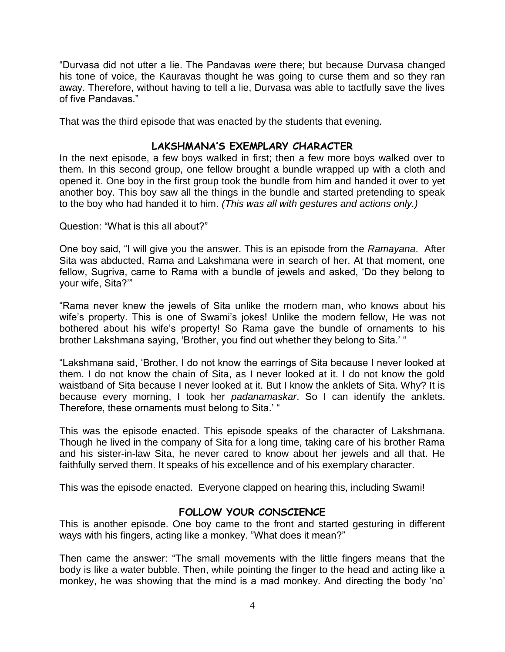"Durvasa did not utter a lie. The Pandavas *were* there; but because Durvasa changed his tone of voice, the Kauravas thought he was going to curse them and so they ran away. Therefore, without having to tell a lie, Durvasa was able to tactfully save the lives of five Pandavas."

That was the third episode that was enacted by the students that evening.

#### **LAKSHMANA'S EXEMPLARY CHARACTER**

In the next episode, a few boys walked in first; then a few more boys walked over to them. In this second group, one fellow brought a bundle wrapped up with a cloth and opened it. One boy in the first group took the bundle from him and handed it over to yet another boy. This boy saw all the things in the bundle and started pretending to speak to the boy who had handed it to him. *(This was all with gestures and actions only.)*

Question: "What is this all about?"

One boy said, "I will give you the answer. This is an episode from the *Ramayana*. After Sita was abducted, Rama and Lakshmana were in search of her. At that moment, one fellow, Sugriva, came to Rama with a bundle of jewels and asked, "Do they belong to your wife, Sita?""

"Rama never knew the jewels of Sita unlike the modern man, who knows about his wife's property. This is one of Swami's jokes! Unlike the modern fellow, He was not bothered about his wife's property! So Rama gave the bundle of ornaments to his brother Lakshmana saying, "Brother, you find out whether they belong to Sita." "

"Lakshmana said, "Brother, I do not know the earrings of Sita because I never looked at them. I do not know the chain of Sita, as I never looked at it. I do not know the gold waistband of Sita because I never looked at it. But I know the anklets of Sita. Why? It is because every morning, I took her *padanamaskar*. So I can identify the anklets. Therefore, these ornaments must belong to Sita." "

This was the episode enacted. This episode speaks of the character of Lakshmana. Though he lived in the company of Sita for a long time, taking care of his brother Rama and his sister-in-law Sita, he never cared to know about her jewels and all that. He faithfully served them. It speaks of his excellence and of his exemplary character.

This was the episode enacted. Everyone clapped on hearing this, including Swami!

#### **FOLLOW YOUR CONSCIENCE**

This is another episode. One boy came to the front and started gesturing in different ways with his fingers, acting like a monkey. "What does it mean?"

Then came the answer: "The small movements with the little fingers means that the body is like a water bubble. Then, while pointing the finger to the head and acting like a monkey, he was showing that the mind is a mad monkey. And directing the body "no"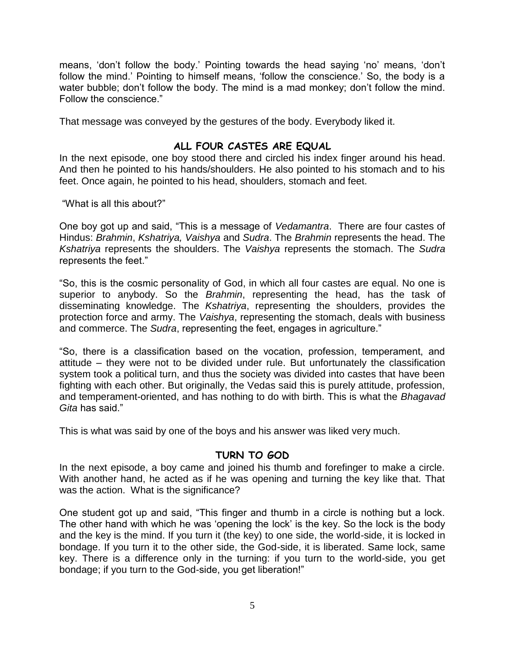means, "don"t follow the body." Pointing towards the head saying "no" means, "don"t follow the mind.' Pointing to himself means, 'follow the conscience.' So, the body is a water bubble; don't follow the body. The mind is a mad monkey; don't follow the mind. Follow the conscience."

That message was conveyed by the gestures of the body. Everybody liked it.

#### **ALL FOUR CASTES ARE EQUAL**

In the next episode, one boy stood there and circled his index finger around his head. And then he pointed to his hands/shoulders. He also pointed to his stomach and to his feet. Once again, he pointed to his head, shoulders, stomach and feet.

"What is all this about?"

One boy got up and said, "This is a message of *Vedamantra*. There are four castes of Hindus: *Brahmin*, *Kshatriya, Vaishya* and *Sudra*. The *Brahmin* represents the head. The *Kshatriya* represents the shoulders. The *Vaishya* represents the stomach. The *Sudra* represents the feet."

"So, this is the cosmic personality of God, in which all four castes are equal. No one is superior to anybody. So the *Brahmin*, representing the head, has the task of disseminating knowledge. The *Kshatriya*, representing the shoulders, provides the protection force and army. The *Vaishya*, representing the stomach, deals with business and commerce. The *Sudra*, representing the feet, engages in agriculture."

"So, there is a classification based on the vocation, profession, temperament, and attitude – they were not to be divided under rule. But unfortunately the classification system took a political turn, and thus the society was divided into castes that have been fighting with each other. But originally, the Vedas said this is purely attitude, profession, and temperament-oriented, and has nothing to do with birth. This is what the *Bhagavad Gita* has said."

This is what was said by one of the boys and his answer was liked very much.

#### **TURN TO GOD**

In the next episode, a boy came and joined his thumb and forefinger to make a circle. With another hand, he acted as if he was opening and turning the key like that. That was the action. What is the significance?

One student got up and said, "This finger and thumb in a circle is nothing but a lock. The other hand with which he was "opening the lock" is the key. So the lock is the body and the key is the mind. If you turn it (the key) to one side, the world-side, it is locked in bondage. If you turn it to the other side, the God-side, it is liberated. Same lock, same key. There is a difference only in the turning: if you turn to the world-side, you get bondage; if you turn to the God-side, you get liberation!"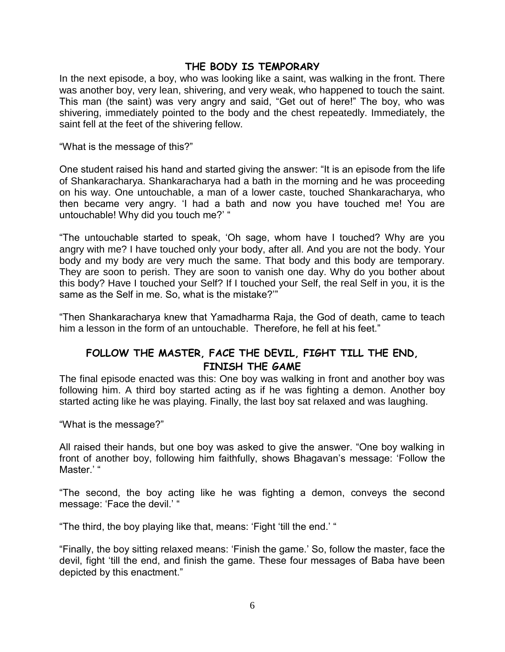#### **THE BODY IS TEMPORARY**

In the next episode, a boy, who was looking like a saint, was walking in the front. There was another boy, very lean, shivering, and very weak, who happened to touch the saint. This man (the saint) was very angry and said, "Get out of here!" The boy, who was shivering, immediately pointed to the body and the chest repeatedly. Immediately, the saint fell at the feet of the shivering fellow.

"What is the message of this?"

One student raised his hand and started giving the answer: "It is an episode from the life of Shankaracharya. Shankaracharya had a bath in the morning and he was proceeding on his way. One untouchable, a man of a lower caste, touched Shankaracharya, who then became very angry. "I had a bath and now you have touched me! You are untouchable! Why did you touch me?' "

"The untouchable started to speak, "Oh sage, whom have I touched? Why are you angry with me? I have touched only your body, after all. And you are not the body. Your body and my body are very much the same. That body and this body are temporary. They are soon to perish. They are soon to vanish one day. Why do you bother about this body? Have I touched your Self? If I touched your Self, the real Self in you, it is the same as the Self in me. So, what is the mistake?""

"Then Shankaracharya knew that Yamadharma Raja, the God of death, came to teach him a lesson in the form of an untouchable. Therefore, he fell at his feet."

## **FOLLOW THE MASTER, FACE THE DEVIL, FIGHT TILL THE END, FINISH THE GAME**

The final episode enacted was this: One boy was walking in front and another boy was following him. A third boy started acting as if he was fighting a demon. Another boy started acting like he was playing. Finally, the last boy sat relaxed and was laughing.

"What is the message?"

All raised their hands, but one boy was asked to give the answer. "One boy walking in front of another boy, following him faithfully, shows Bhagavan's message: 'Follow the Master.'"

"The second, the boy acting like he was fighting a demon, conveys the second message: 'Face the devil.' "

"The third, the boy playing like that, means: "Fight "till the end." "

"Finally, the boy sitting relaxed means: "Finish the game." So, follow the master, face the devil, fight "till the end, and finish the game. These four messages of Baba have been depicted by this enactment."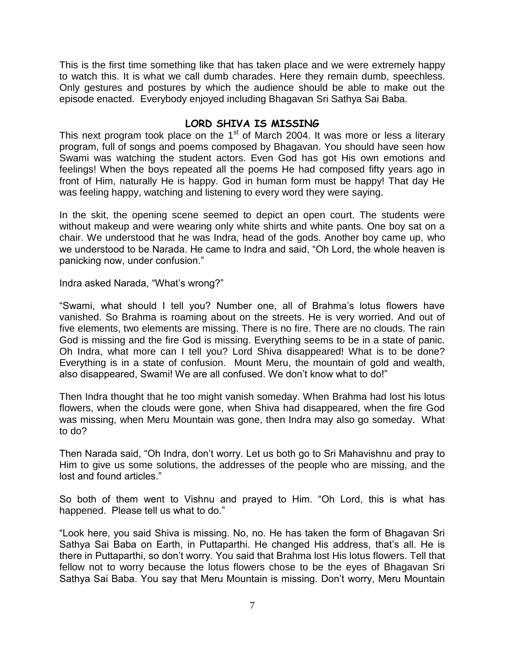This is the first time something like that has taken place and we were extremely happy to watch this. It is what we call dumb charades. Here they remain dumb, speechless. Only gestures and postures by which the audience should be able to make out the episode enacted. Everybody enjoyed including Bhagavan Sri Sathya Sai Baba.

#### **LORD SHIVA IS MISSING**

This next program took place on the  $1<sup>st</sup>$  of March 2004. It was more or less a literary program, full of songs and poems composed by Bhagavan. You should have seen how Swami was watching the student actors. Even God has got His own emotions and feelings! When the boys repeated all the poems He had composed fifty years ago in front of Him, naturally He is happy. God in human form must be happy! That day He was feeling happy, watching and listening to every word they were saying.

In the skit, the opening scene seemed to depict an open court. The students were without makeup and were wearing only white shirts and white pants. One boy sat on a chair. We understood that he was Indra, head of the gods. Another boy came up, who we understood to be Narada. He came to Indra and said, "Oh Lord, the whole heaven is panicking now, under confusion."

Indra asked Narada, "What"s wrong?"

"Swami, what should I tell you? Number one, all of Brahma"s lotus flowers have vanished. So Brahma is roaming about on the streets. He is very worried. And out of five elements, two elements are missing. There is no fire. There are no clouds. The rain God is missing and the fire God is missing. Everything seems to be in a state of panic. Oh Indra, what more can I tell you? Lord Shiva disappeared! What is to be done? Everything is in a state of confusion. Mount Meru, the mountain of gold and wealth, also disappeared, Swami! We are all confused. We don"t know what to do!"

Then Indra thought that he too might vanish someday. When Brahma had lost his lotus flowers, when the clouds were gone, when Shiva had disappeared, when the fire God was missing, when Meru Mountain was gone, then Indra may also go someday. What to do?

Then Narada said, "Oh Indra, don"t worry. Let us both go to Sri Mahavishnu and pray to Him to give us some solutions, the addresses of the people who are missing, and the lost and found articles."

So both of them went to Vishnu and prayed to Him. "Oh Lord, this is what has happened. Please tell us what to do."

"Look here, you said Shiva is missing. No, no. He has taken the form of Bhagavan Sri Sathya Sai Baba on Earth, in Puttaparthi. He changed His address, that's all. He is there in Puttaparthi, so don"t worry. You said that Brahma lost His lotus flowers. Tell that fellow not to worry because the lotus flowers chose to be the eyes of Bhagavan Sri Sathya Sai Baba. You say that Meru Mountain is missing. Don"t worry, Meru Mountain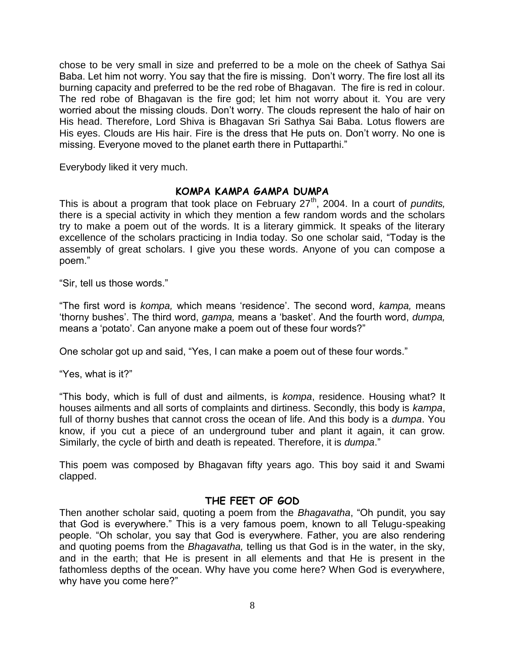chose to be very small in size and preferred to be a mole on the cheek of Sathya Sai Baba. Let him not worry. You say that the fire is missing. Don't worry. The fire lost all its burning capacity and preferred to be the red robe of Bhagavan. The fire is red in colour. The red robe of Bhagavan is the fire god; let him not worry about it. You are very worried about the missing clouds. Don't worry. The clouds represent the halo of hair on His head. Therefore, Lord Shiva is Bhagavan Sri Sathya Sai Baba. Lotus flowers are His eyes. Clouds are His hair. Fire is the dress that He puts on. Don"t worry. No one is missing. Everyone moved to the planet earth there in Puttaparthi."

Everybody liked it very much.

#### **KOMPA KAMPA GAMPA DUMPA**

This is about a program that took place on February 27<sup>th</sup>, 2004. In a court of *pundits*, there is a special activity in which they mention a few random words and the scholars try to make a poem out of the words. It is a literary gimmick. It speaks of the literary excellence of the scholars practicing in India today. So one scholar said, "Today is the assembly of great scholars. I give you these words. Anyone of you can compose a poem."

"Sir, tell us those words."

"The first word is *kompa,* which means "residence". The second word, *kampa,* means "thorny bushes". The third word, *gampa,* means a "basket". And the fourth word, *dumpa,* means a 'potato'. Can anyone make a poem out of these four words?"

One scholar got up and said, "Yes, I can make a poem out of these four words."

"Yes, what is it?"

"This body, which is full of dust and ailments, is *kompa*, residence. Housing what? It houses ailments and all sorts of complaints and dirtiness. Secondly, this body is *kampa*, full of thorny bushes that cannot cross the ocean of life. And this body is a *dumpa*. You know, if you cut a piece of an underground tuber and plant it again, it can grow. Similarly, the cycle of birth and death is repeated. Therefore, it is *dumpa*."

This poem was composed by Bhagavan fifty years ago. This boy said it and Swami clapped.

#### **THE FEET OF GOD**

Then another scholar said, quoting a poem from the *Bhagavatha*, "Oh pundit, you say that God is everywhere." This is a very famous poem, known to all Telugu-speaking people. "Oh scholar, you say that God is everywhere. Father, you are also rendering and quoting poems from the *Bhagavatha,* telling us that God is in the water, in the sky, and in the earth; that He is present in all elements and that He is present in the fathomless depths of the ocean. Why have you come here? When God is everywhere, why have you come here?"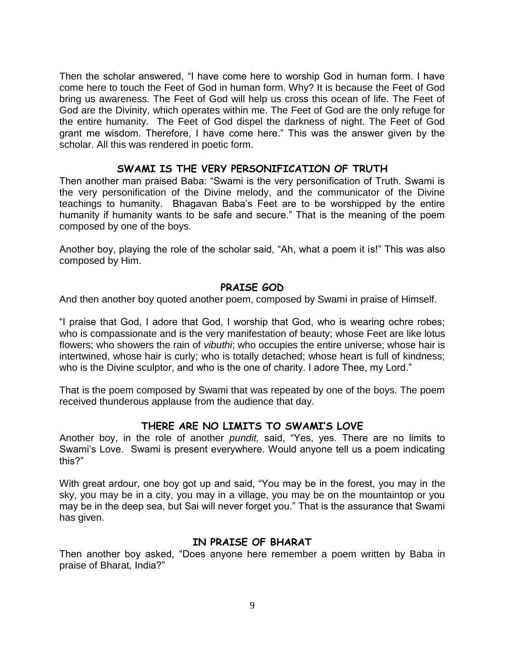Then the scholar answered, "I have come here to worship God in human form. I have come here to touch the Feet of God in human form. Why? It is because the Feet of God bring us awareness. The Feet of God will help us cross this ocean of life. The Feet of God are the Divinity, which operates within me. The Feet of God are the only refuge for the entire humanity. The Feet of God dispel the darkness of night. The Feet of God grant me wisdom. Therefore, I have come here." This was the answer given by the scholar. All this was rendered in poetic form.

#### **SWAMI IS THE VERY PERSONIFICATION OF TRUTH**

Then another man praised Baba: "Swami is the very personification of Truth. Swami is the very personification of the Divine melody, and the communicator of the Divine teachings to humanity. Bhagavan Baba"s Feet are to be worshipped by the entire humanity if humanity wants to be safe and secure." That is the meaning of the poem composed by one of the boys.

Another boy, playing the role of the scholar said, "Ah, what a poem it is!" This was also composed by Him.

#### **PRAISE GOD**

And then another boy quoted another poem, composed by Swami in praise of Himself.

"I praise that God, I adore that God, I worship that God, who is wearing ochre robes; who is compassionate and is the very manifestation of beauty; whose Feet are like lotus flowers; who showers the rain of *vibuthi*; who occupies the entire universe; whose hair is intertwined, whose hair is curly; who is totally detached; whose heart is full of kindness; who is the Divine sculptor, and who is the one of charity. I adore Thee, my Lord."

That is the poem composed by Swami that was repeated by one of the boys. The poem received thunderous applause from the audience that day.

#### **THERE ARE NO LIMITS TO SWAMI'S LOVE**

Another boy, in the role of another *pundit,* said, "Yes, yes. There are no limits to Swami"s Love. Swami is present everywhere. Would anyone tell us a poem indicating this?"

With great ardour, one boy got up and said, "You may be in the forest, you may in the sky, you may be in a city, you may in a village, you may be on the mountaintop or you may be in the deep sea, but Sai will never forget you." That is the assurance that Swami has given.

#### **IN PRAISE OF BHARAT**

Then another boy asked, "Does anyone here remember a poem written by Baba in praise of Bharat*,* India?"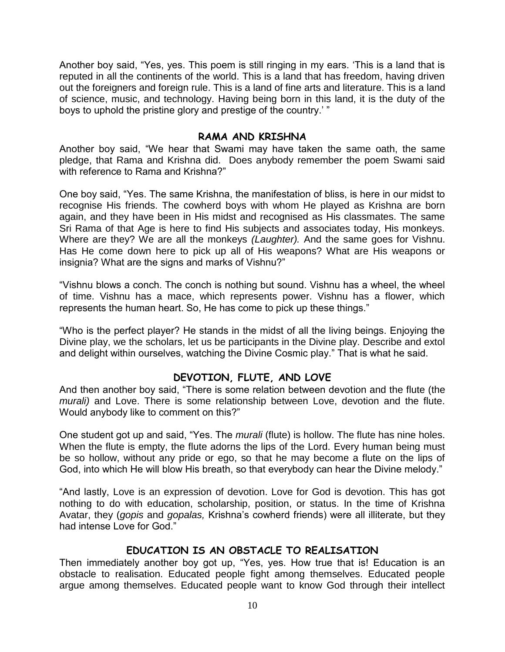Another boy said, "Yes, yes. This poem is still ringing in my ears. "This is a land that is reputed in all the continents of the world. This is a land that has freedom, having driven out the foreigners and foreign rule. This is a land of fine arts and literature. This is a land of science, music, and technology. Having being born in this land, it is the duty of the boys to uphold the pristine glory and prestige of the country." "

#### **RAMA AND KRISHNA**

Another boy said, "We hear that Swami may have taken the same oath, the same pledge, that Rama and Krishna did. Does anybody remember the poem Swami said with reference to Rama and Krishna?"

One boy said, "Yes. The same Krishna, the manifestation of bliss, is here in our midst to recognise His friends. The cowherd boys with whom He played as Krishna are born again, and they have been in His midst and recognised as His classmates. The same Sri Rama of that Age is here to find His subjects and associates today, His monkeys. Where are they? We are all the monkeys *(Laughter).* And the same goes for Vishnu. Has He come down here to pick up all of His weapons? What are His weapons or insignia? What are the signs and marks of Vishnu?"

"Vishnu blows a conch. The conch is nothing but sound. Vishnu has a wheel, the wheel of time. Vishnu has a mace, which represents power. Vishnu has a flower, which represents the human heart. So, He has come to pick up these things."

"Who is the perfect player? He stands in the midst of all the living beings. Enjoying the Divine play, we the scholars, let us be participants in the Divine play. Describe and extol and delight within ourselves, watching the Divine Cosmic play." That is what he said.

#### **DEVOTION, FLUTE, AND LOVE**

And then another boy said, "There is some relation between devotion and the flute (the *murali)* and Love. There is some relationship between Love, devotion and the flute. Would anybody like to comment on this?"

One student got up and said, "Yes. The *murali* (flute) is hollow. The flute has nine holes. When the flute is empty, the flute adorns the lips of the Lord. Every human being must be so hollow, without any pride or ego, so that he may become a flute on the lips of God, into which He will blow His breath, so that everybody can hear the Divine melody."

"And lastly, Love is an expression of devotion. Love for God is devotion. This has got nothing to do with education, scholarship, position, or status. In the time of Krishna Avatar, they (*gopis* and *gopalas,* Krishna"s cowherd friends) were all illiterate, but they had intense Love for God."

#### **EDUCATION IS AN OBSTACLE TO REALISATION**

Then immediately another boy got up, "Yes, yes. How true that is! Education is an obstacle to realisation. Educated people fight among themselves. Educated people argue among themselves. Educated people want to know God through their intellect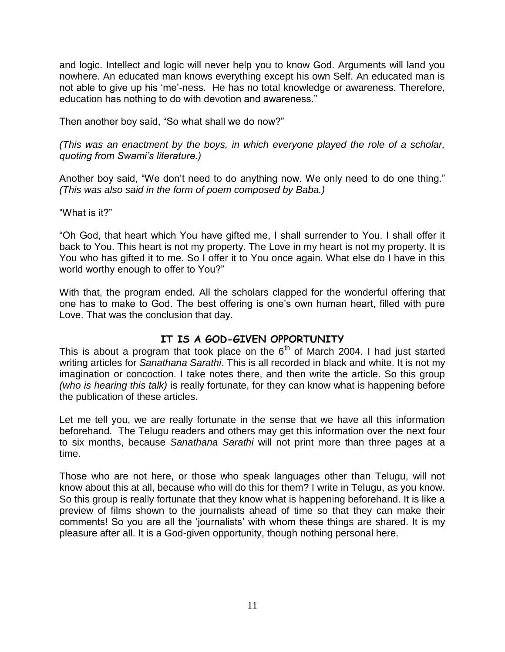and logic. Intellect and logic will never help you to know God. Arguments will land you nowhere. An educated man knows everything except his own Self. An educated man is not able to give up his "me"-ness. He has no total knowledge or awareness. Therefore, education has nothing to do with devotion and awareness."

Then another boy said, "So what shall we do now?"

*(This was an enactment by the boys, in which everyone played the role of a scholar, quoting from Swami's literature.)*

Another boy said, "We don"t need to do anything now. We only need to do one thing." *(This was also said in the form of poem composed by Baba.)*

"What is it?"

"Oh God, that heart which You have gifted me, I shall surrender to You. I shall offer it back to You. This heart is not my property. The Love in my heart is not my property. It is You who has gifted it to me. So I offer it to You once again. What else do I have in this world worthy enough to offer to You?"

With that, the program ended. All the scholars clapped for the wonderful offering that one has to make to God. The best offering is one"s own human heart, filled with pure Love. That was the conclusion that day.

## **IT IS A GOD-GIVEN OPPORTUNITY**

This is about a program that took place on the  $6<sup>th</sup>$  of March 2004. I had just started writing articles for *Sanathana Sarathi*. This is all recorded in black and white. It is not my imagination or concoction. I take notes there, and then write the article. So this group *(who is hearing this talk)* is really fortunate, for they can know what is happening before the publication of these articles.

Let me tell you, we are really fortunate in the sense that we have all this information beforehand. The Telugu readers and others may get this information over the next four to six months, because *Sanathana Sarathi* will not print more than three pages at a time.

Those who are not here, or those who speak languages other than Telugu, will not know about this at all, because who will do this for them? I write in Telugu, as you know. So this group is really fortunate that they know what is happening beforehand. It is like a preview of films shown to the journalists ahead of time so that they can make their comments! So you are all the "journalists" with whom these things are shared. It is my pleasure after all. It is a God-given opportunity, though nothing personal here.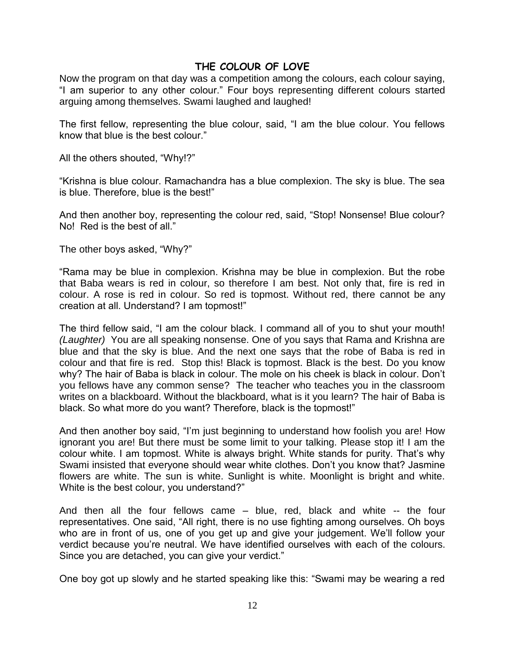#### **THE COLOUR OF LOVE**

Now the program on that day was a competition among the colours, each colour saying, "I am superior to any other colour." Four boys representing different colours started arguing among themselves. Swami laughed and laughed!

The first fellow, representing the blue colour, said, "I am the blue colour. You fellows know that blue is the best colour."

All the others shouted, "Why!?"

"Krishna is blue colour. Ramachandra has a blue complexion. The sky is blue. The sea is blue. Therefore, blue is the best!"

And then another boy, representing the colour red, said, "Stop! Nonsense! Blue colour? No! Red is the best of all."

The other boys asked, "Why?"

"Rama may be blue in complexion. Krishna may be blue in complexion. But the robe that Baba wears is red in colour, so therefore I am best. Not only that, fire is red in colour. A rose is red in colour. So red is topmost. Without red, there cannot be any creation at all. Understand? I am topmost!"

The third fellow said, "I am the colour black. I command all of you to shut your mouth! *(Laughter)* You are all speaking nonsense. One of you says that Rama and Krishna are blue and that the sky is blue. And the next one says that the robe of Baba is red in colour and that fire is red. Stop this! Black is topmost. Black is the best. Do you know why? The hair of Baba is black in colour. The mole on his cheek is black in colour. Don"t you fellows have any common sense? The teacher who teaches you in the classroom writes on a blackboard. Without the blackboard, what is it you learn? The hair of Baba is black. So what more do you want? Therefore, black is the topmost!"

And then another boy said, "I"m just beginning to understand how foolish you are! How ignorant you are! But there must be some limit to your talking. Please stop it! I am the colour white. I am topmost. White is always bright. White stands for purity. That"s why Swami insisted that everyone should wear white clothes. Don"t you know that? Jasmine flowers are white. The sun is white. Sunlight is white. Moonlight is bright and white. White is the best colour, you understand?"

And then all the four fellows came – blue, red, black and white -- the four representatives. One said, "All right, there is no use fighting among ourselves. Oh boys who are in front of us, one of you get up and give your judgement. We"ll follow your verdict because you"re neutral. We have identified ourselves with each of the colours. Since you are detached, you can give your verdict."

One boy got up slowly and he started speaking like this: "Swami may be wearing a red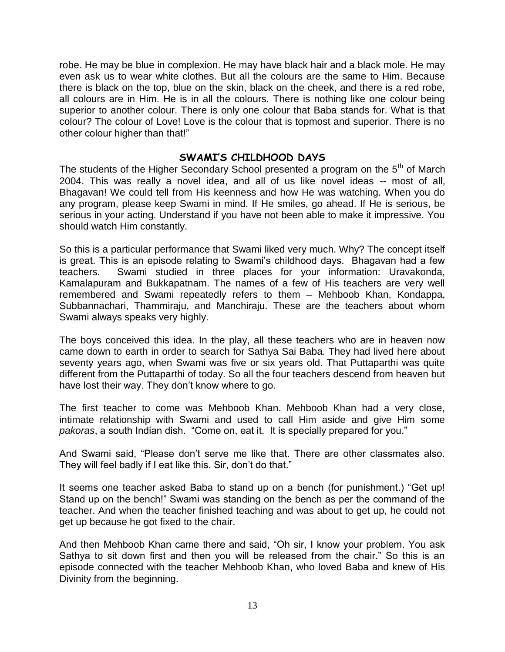robe. He may be blue in complexion. He may have black hair and a black mole. He may even ask us to wear white clothes. But all the colours are the same to Him. Because there is black on the top, blue on the skin, black on the cheek, and there is a red robe, all colours are in Him. He is in all the colours. There is nothing like one colour being superior to another colour. There is only one colour that Baba stands for. What is that colour? The colour of Love! Love is the colour that is topmost and superior. There is no other colour higher than that!"

#### **SWAMI'S CHILDHOOD DAYS**

The students of the Higher Secondary School presented a program on the 5<sup>th</sup> of March 2004. This was really a novel idea, and all of us like novel ideas -- most of all, Bhagavan! We could tell from His keenness and how He was watching. When you do any program, please keep Swami in mind. If He smiles, go ahead. If He is serious, be serious in your acting. Understand if you have not been able to make it impressive. You should watch Him constantly.

So this is a particular performance that Swami liked very much. Why? The concept itself is great. This is an episode relating to Swami"s childhood days. Bhagavan had a few teachers. Swami studied in three places for your information: Uravakonda, Kamalapuram and Bukkapatnam. The names of a few of His teachers are very well remembered and Swami repeatedly refers to them – Mehboob Khan, Kondappa, Subbannachari, Thammiraju, and Manchiraju. These are the teachers about whom Swami always speaks very highly.

The boys conceived this idea. In the play, all these teachers who are in heaven now came down to earth in order to search for Sathya Sai Baba. They had lived here about seventy years ago, when Swami was five or six years old. That Puttaparthi was quite different from the Puttaparthi of today. So all the four teachers descend from heaven but have lost their way. They don't know where to go.

The first teacher to come was Mehboob Khan. Mehboob Khan had a very close, intimate relationship with Swami and used to call Him aside and give Him some *pakoras*, a south Indian dish. "Come on, eat it. It is specially prepared for you."

And Swami said, "Please don"t serve me like that. There are other classmates also. They will feel badly if I eat like this. Sir, don"t do that."

It seems one teacher asked Baba to stand up on a bench (for punishment.) "Get up! Stand up on the bench!" Swami was standing on the bench as per the command of the teacher. And when the teacher finished teaching and was about to get up, he could not get up because he got fixed to the chair.

And then Mehboob Khan came there and said, "Oh sir, I know your problem. You ask Sathya to sit down first and then you will be released from the chair." So this is an episode connected with the teacher Mehboob Khan, who loved Baba and knew of His Divinity from the beginning.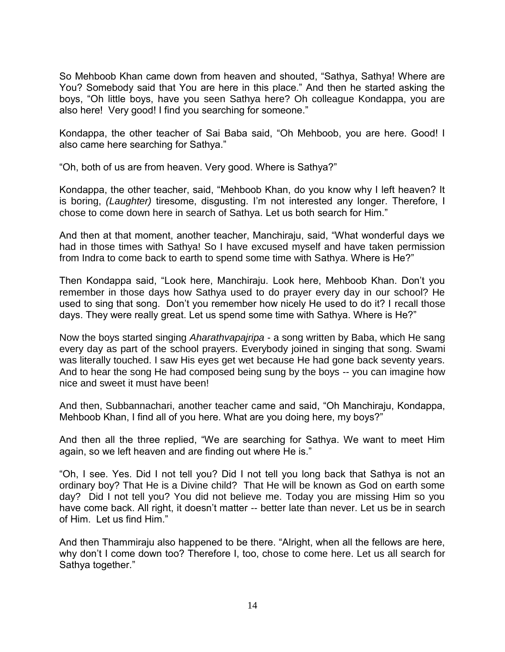So Mehboob Khan came down from heaven and shouted, "Sathya, Sathya! Where are You? Somebody said that You are here in this place." And then he started asking the boys, "Oh little boys, have you seen Sathya here? Oh colleague Kondappa, you are also here! Very good! I find you searching for someone."

Kondappa, the other teacher of Sai Baba said, "Oh Mehboob, you are here. Good! I also came here searching for Sathya."

"Oh, both of us are from heaven. Very good. Where is Sathya?"

Kondappa, the other teacher, said, "Mehboob Khan, do you know why I left heaven? It is boring, *(Laughter)* tiresome, disgusting. I"m not interested any longer. Therefore, I chose to come down here in search of Sathya. Let us both search for Him."

And then at that moment, another teacher, Manchiraju, said, "What wonderful days we had in those times with Sathya! So I have excused myself and have taken permission from Indra to come back to earth to spend some time with Sathya. Where is He?"

Then Kondappa said, "Look here, Manchiraju. Look here, Mehboob Khan. Don"t you remember in those days how Sathya used to do prayer every day in our school? He used to sing that song. Don"t you remember how nicely He used to do it? I recall those days. They were really great. Let us spend some time with Sathya. Where is He?"

Now the boys started singing *Aharathvapajripa* - a song written by Baba, which He sang every day as part of the school prayers. Everybody joined in singing that song. Swami was literally touched. I saw His eyes get wet because He had gone back seventy years. And to hear the song He had composed being sung by the boys -- you can imagine how nice and sweet it must have been!

And then, Subbannachari, another teacher came and said, "Oh Manchiraju, Kondappa, Mehboob Khan, I find all of you here. What are you doing here, my boys?"

And then all the three replied, "We are searching for Sathya. We want to meet Him again, so we left heaven and are finding out where He is."

"Oh, I see. Yes. Did I not tell you? Did I not tell you long back that Sathya is not an ordinary boy? That He is a Divine child? That He will be known as God on earth some day? Did I not tell you? You did not believe me. Today you are missing Him so you have come back. All right, it doesn't matter -- better late than never. Let us be in search of Him. Let us find Him."

And then Thammiraju also happened to be there. "Alright, when all the fellows are here, why don"t I come down too? Therefore I, too, chose to come here. Let us all search for Sathya together."